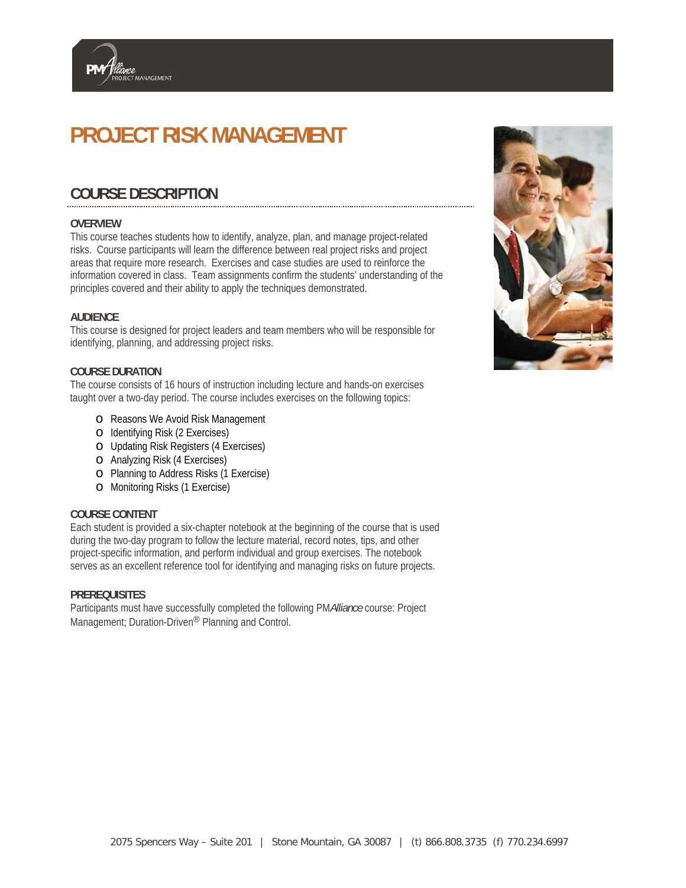# **PROJECT RISK MANAGEMENT**

## **COURSE DESCRIPTION**

MANAGEMENT

#### **OVERVIEW**

This course teaches students how to identify, analyze, plan, and manage project-related risks. Course participants will learn the difference between real project risks and project areas that require more research. Exercises and case studies are used to reinforce the information covered in class. Team assignments confirm the students' understanding of the principles covered and their ability to apply the techniques demonstrated.

#### **AUDIENCE**

This course is designed for project leaders and team members who will be responsible for identifying, planning, and addressing project risks.

#### **COURSE DURATION**

The course consists of 16 hours of instruction including lecture and hands-on exercises taught over a two-day period. The course includes exercises on the following topics:

- o Reasons We Avoid Risk Management
- o Identifying Risk (2 Exercises)
- o Updating Risk Registers (4 Exercises)
- o Analyzing Risk (4 Exercises)
- o Planning to Address Risks (1 Exercise)
- o Monitoring Risks (1 Exercise)

#### **COURSE CONTENT**

Each student is provided a six-chapter notebook at the beginning of the course that is used during the two-day program to follow the lecture material, record notes, tips, and other project-specific information, and perform individual and group exercises. The notebook serves as an excellent reference tool for identifying and managing risks on future projects.

#### **PREREQUISITES**

Participants must have successfully completed the following PM*Alliance* course: Project Management; Duration-Driven® Planning and Control.